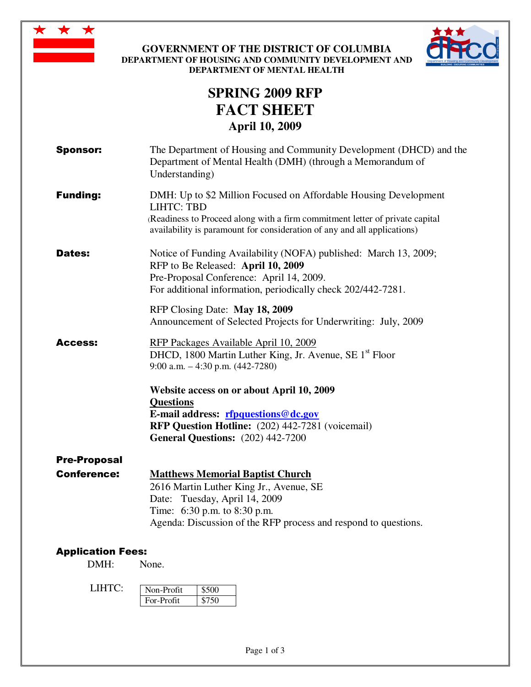

**GOVERNMENT OF THE DISTRICT OF COLUMBIA DEPARTMENT OF HOUSING AND COMMUNITY DEVELOPMENT AND DEPARTMENT OF MENTAL HEALTH** 



# **SPRING 2009 RFP FACT SHEET April 10, 2009**

| <b>Sponsor:</b>          | The Department of Housing and Community Development (DHCD) and the<br>Department of Mental Health (DMH) (through a Memorandum of<br>Understanding)                                                                                                |
|--------------------------|---------------------------------------------------------------------------------------------------------------------------------------------------------------------------------------------------------------------------------------------------|
| <b>Funding:</b>          | DMH: Up to \$2 Million Focused on Affordable Housing Development<br><b>LIHTC: TBD</b><br>(Readiness to Proceed along with a firm commitment letter of private capital<br>availability is paramount for consideration of any and all applications) |
| <b>Dates:</b>            | Notice of Funding Availability (NOFA) published: March 13, 2009;<br>RFP to Be Released: April 10, 2009<br>Pre-Proposal Conference: April 14, 2009.<br>For additional information, periodically check 202/442-7281.                                |
|                          | RFP Closing Date: May 18, 2009<br>Announcement of Selected Projects for Underwriting: July, 2009                                                                                                                                                  |
| Access:                  | RFP Packages Available April 10, 2009<br>DHCD, 1800 Martin Luther King, Jr. Avenue, SE 1 <sup>st</sup> Floor<br>9:00 a.m. $-4:30$ p.m. $(442-7280)$                                                                                               |
|                          | Website access on or about April 10, 2009<br><b>Questions</b><br>E-mail address: rfpquestions@dc.gov<br>RFP Question Hotline: (202) 442-7281 (voicemail)<br><b>General Questions:</b> (202) 442-7200                                              |
| <b>Pre-Proposal</b>      |                                                                                                                                                                                                                                                   |
| <b>Conference:</b>       | <b>Matthews Memorial Baptist Church</b><br>2616 Martin Luther King Jr., Avenue, SE<br>Date: Tuesday, April 14, 2009<br>Time: 6:30 p.m. to 8:30 p.m.<br>Agenda: Discussion of the RFP process and respond to questions.                            |
| <b>Application Fees:</b> |                                                                                                                                                                                                                                                   |

# DMH: None.

| LIHTC | Non-Profit |  |
|-------|------------|--|
|       | For-Profit |  |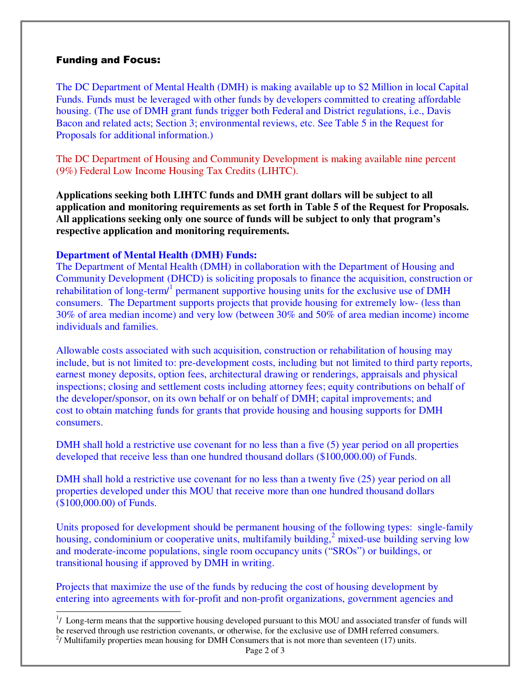## Funding and Focus:

-

The DC Department of Mental Health (DMH) is making available up to \$2 Million in local Capital Funds. Funds must be leveraged with other funds by developers committed to creating affordable housing. (The use of DMH grant funds trigger both Federal and District regulations, i.e., Davis Bacon and related acts; Section 3; environmental reviews, etc. See Table 5 in the Request for Proposals for additional information.)

The DC Department of Housing and Community Development is making available nine percent (9%) Federal Low Income Housing Tax Credits (LIHTC).

**Applications seeking both LIHTC funds and DMH grant dollars will be subject to all application and monitoring requirements as set forth in Table 5 of the Request for Proposals. All applications seeking only one source of funds will be subject to only that program's respective application and monitoring requirements.** 

#### **Department of Mental Health (DMH) Funds:**

The Department of Mental Health (DMH) in collaboration with the Department of Housing and Community Development (DHCD) is soliciting proposals to finance the acquisition, construction or rehabilitation of long-term/<sup>1</sup> permanent supportive housing units for the exclusive use of DMH consumers. The Department supports projects that provide housing for extremely low- (less than 30% of area median income) and very low (between 30% and 50% of area median income) income individuals and families.

Allowable costs associated with such acquisition, construction or rehabilitation of housing may include, but is not limited to: pre-development costs, including but not limited to third party reports, earnest money deposits, option fees, architectural drawing or renderings, appraisals and physical inspections; closing and settlement costs including attorney fees; equity contributions on behalf of the developer/sponsor, on its own behalf or on behalf of DMH; capital improvements; and cost to obtain matching funds for grants that provide housing and housing supports for DMH consumers.

DMH shall hold a restrictive use covenant for no less than a five (5) year period on all properties developed that receive less than one hundred thousand dollars (\$100,000.00) of Funds.

DMH shall hold a restrictive use covenant for no less than a twenty five (25) year period on all properties developed under this MOU that receive more than one hundred thousand dollars (\$100,000.00) of Funds.

Units proposed for development should be permanent housing of the following types: single-family housing, condominium or cooperative units, multifamily building,<sup>2</sup> mixed-use building serving low and moderate-income populations, single room occupancy units ("SROs") or buildings, or transitional housing if approved by DMH in writing.

Projects that maximize the use of the funds by reducing the cost of housing development by entering into agreements with for-profit and non-profit organizations, government agencies and

<sup>&</sup>lt;sup>1</sup>/ Long-term means that the supportive housing developed pursuant to this MOU and associated transfer of funds will be reserved through use restriction covenants, or otherwise, for the exclusive use of DMH referred consumers.  $2/$  Multifamily properties mean housing for DMH Consumers that is not more than seventeen (17) units.